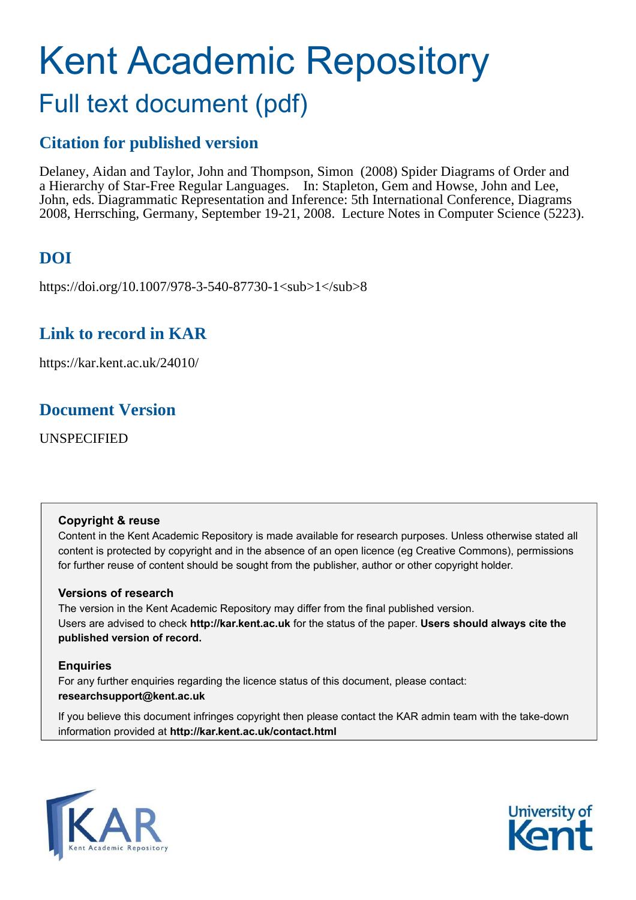# Kent Academic Repository Full text document (pdf)

# **Citation for published version**

Delaney, Aidan and Taylor, John and Thompson, Simon (2008) Spider Diagrams of Order and a Hierarchy of Star-Free Regular Languages. In: Stapleton, Gem and Howse, John and Lee, John, eds. Diagrammatic Representation and Inference: 5th International Conference, Diagrams 2008, Herrsching, Germany, September 19-21, 2008. Lecture Notes in Computer Science (5223).

# **DOI**

https://doi.org/10.1007/978-3-540-87730-1<sub>1</sub>8

# **Link to record in KAR**

https://kar.kent.ac.uk/24010/

# **Document Version**

UNSPECIFIED

## **Copyright & reuse**

Content in the Kent Academic Repository is made available for research purposes. Unless otherwise stated all content is protected by copyright and in the absence of an open licence (eg Creative Commons), permissions for further reuse of content should be sought from the publisher, author or other copyright holder.

## **Versions of research**

The version in the Kent Academic Repository may differ from the final published version. Users are advised to check **http://kar.kent.ac.uk** for the status of the paper. **Users should always cite the published version of record.**

## **Enquiries**

For any further enquiries regarding the licence status of this document, please contact: **researchsupport@kent.ac.uk**

If you believe this document infringes copyright then please contact the KAR admin team with the take-down information provided at **http://kar.kent.ac.uk/contact.html**



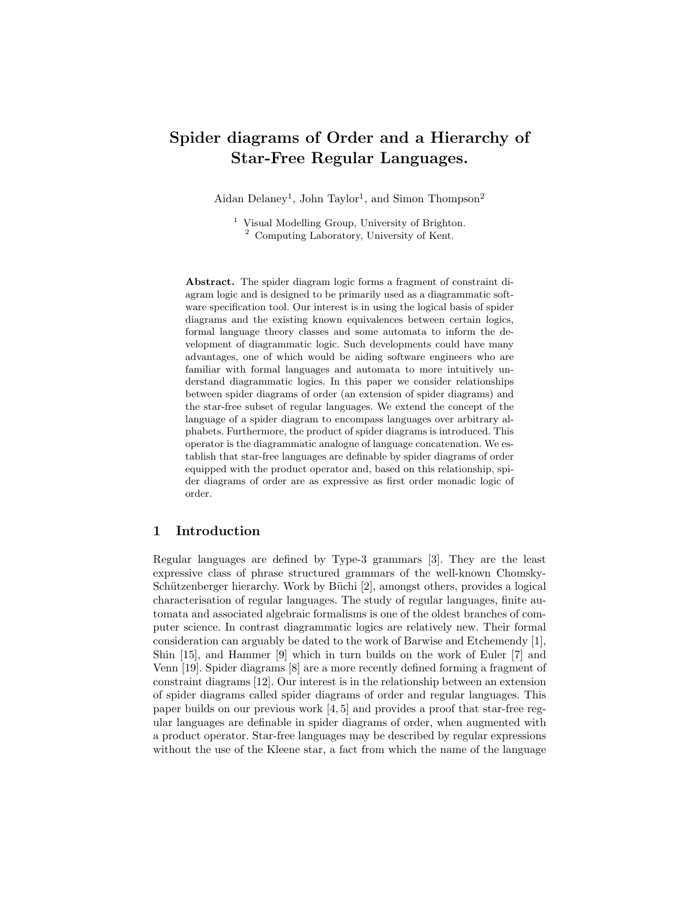## Spider diagrams of Order and a Hierarchy of Star-Free Regular Languages.

Aidan Delaney<sup>1</sup>, John Taylor<sup>1</sup>, and Simon Thompson<sup>2</sup>

<sup>1</sup> Visual Modelling Group, University of Brighton. <sup>2</sup> Computing Laboratory, University of Kent.

Abstract. The spider diagram logic forms a fragment of constraint diagram logic and is designed to be primarily used as a diagrammatic software specification tool. Our interest is in using the logical basis of spider diagrams and the existing known equivalences between certain logics, formal language theory classes and some automata to inform the development of diagrammatic logic. Such developments could have many advantages, one of which would be aiding software engineers who are familiar with formal languages and automata to more intuitively understand diagrammatic logics. In this paper we consider relationships between spider diagrams of order (an extension of spider diagrams) and the star-free subset of regular languages. We extend the concept of the language of a spider diagram to encompass languages over arbitrary alphabets. Furthermore, the product of spider diagrams is introduced. This operator is the diagrammatic analogue of language concatenation. We establish that star-free languages are definable by spider diagrams of order equipped with the product operator and, based on this relationship, spider diagrams of order are as expressive as first order monadic logic of order.

## 1 Introduction

Regular languages are defined by Type-3 grammars [3]. They are the least expressive class of phrase structured grammars of the well-known Chomsky-Schützenberger hierarchy. Work by Büchi [2], amongst others, provides a logical characterisation of regular languages. The study of regular languages, finite automata and associated algebraic formalisms is one of the oldest branches of computer science. In contrast diagrammatic logics are relatively new. Their formal consideration can arguably be dated to the work of Barwise and Etchemendy [1], Shin [15], and Hammer [9] which in turn builds on the work of Euler [7] and Venn [19]. Spider diagrams [8] are a more recently defined forming a fragment of constraint diagrams [12]. Our interest is in the relationship between an extension of spider diagrams called spider diagrams of order and regular languages. This paper builds on our previous work [4, 5] and provides a proof that star-free regular languages are definable in spider diagrams of order, when augmented with a product operator. Star-free languages may be described by regular expressions without the use of the Kleene star, a fact from which the name of the language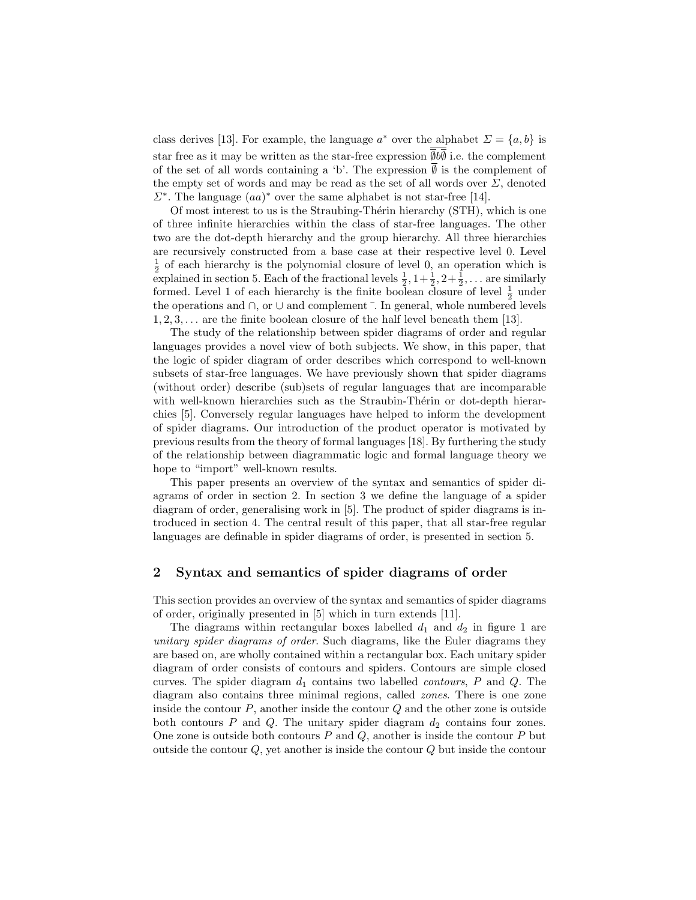class derives [13]. For example, the language  $a^*$  over the alphabet  $\Sigma = \{a, b\}$  is star free as it may be written as the star-free expression  $\overline{\emptyset}b\overline{\emptyset}$  i.e. the complement of the set of all words containing a 'b'. The expression  $\emptyset$  is the complement of the empty set of words and may be read as the set of all words over  $\Sigma$ , denoted  $\Sigma^*$ . The language  $(aa)^*$  over the same alphabet is not star-free [14].

Of most interest to us is the Straubing-Thérin hierarchy (STH), which is one of three infinite hierarchies within the class of star-free languages. The other two are the dot-depth hierarchy and the group hierarchy. All three hierarchies are recursively constructed from a base case at their respective level 0. Level  $\frac{1}{2}$  of each hierarchy is the polynomial closure of level 0, an operation which is explained in section 5. Each of the fractional levels  $\frac{1}{2}$ ,  $1+\frac{1}{2}$ ,  $2+\frac{1}{2}$ , ... are similarly formed. Level 1 of each hierarchy is the finite boolean closure of level  $\frac{1}{2}$  under the operations and ∩, or ∪ and complement ¯. In general, whole numbered levels  $1, 2, 3, \ldots$  are the finite boolean closure of the half level beneath them [13].

The study of the relationship between spider diagrams of order and regular languages provides a novel view of both subjects. We show, in this paper, that the logic of spider diagram of order describes which correspond to well-known subsets of star-free languages. We have previously shown that spider diagrams (without order) describe (sub)sets of regular languages that are incomparable with well-known hierarchies such as the Straubin-Thérin or dot-depth hierarchies [5]. Conversely regular languages have helped to inform the development of spider diagrams. Our introduction of the product operator is motivated by previous results from the theory of formal languages [18]. By furthering the study of the relationship between diagrammatic logic and formal language theory we hope to "import" well-known results.

This paper presents an overview of the syntax and semantics of spider diagrams of order in section 2. In section 3 we define the language of a spider diagram of order, generalising work in [5]. The product of spider diagrams is introduced in section 4. The central result of this paper, that all star-free regular languages are definable in spider diagrams of order, is presented in section 5.

#### 2 Syntax and semantics of spider diagrams of order

This section provides an overview of the syntax and semantics of spider diagrams of order, originally presented in [5] which in turn extends [11].

The diagrams within rectangular boxes labelled  $d_1$  and  $d_2$  in figure 1 are unitary spider diagrams of order. Such diagrams, like the Euler diagrams they are based on, are wholly contained within a rectangular box. Each unitary spider diagram of order consists of contours and spiders. Contours are simple closed curves. The spider diagram  $d_1$  contains two labelled *contours*,  $P$  and  $Q$ . The diagram also contains three minimal regions, called zones. There is one zone inside the contour  $P$ , another inside the contour  $Q$  and the other zone is outside both contours  $P$  and  $Q$ . The unitary spider diagram  $d_2$  contains four zones. One zone is outside both contours  $P$  and  $Q$ , another is inside the contour  $P$  but outside the contour  $Q$ , yet another is inside the contour  $Q$  but inside the contour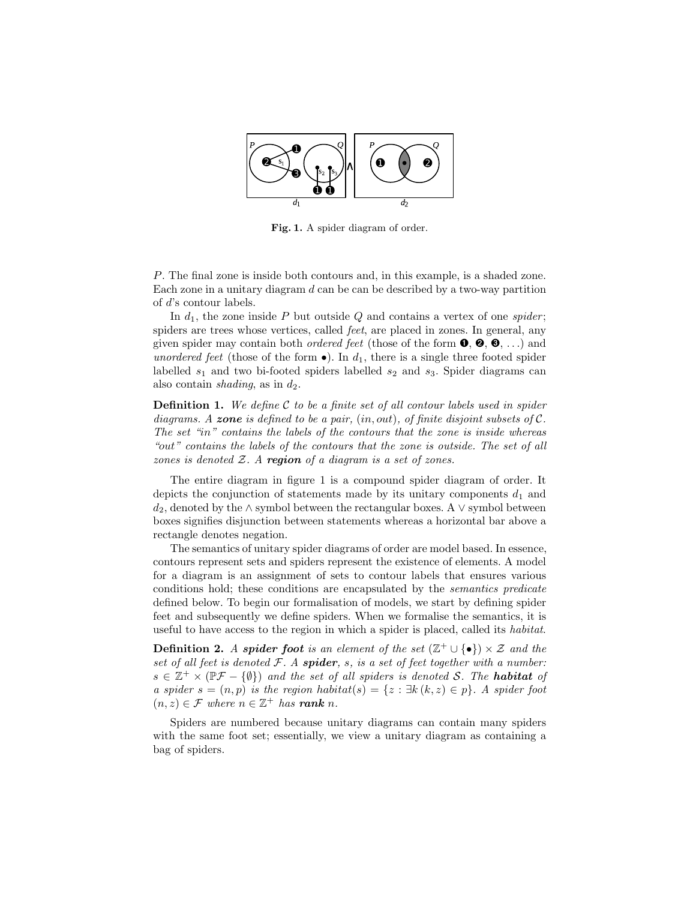

Fig. 1. A spider diagram of order.

P. The final zone is inside both contours and, in this example, is a shaded zone. Each zone in a unitary diagram  $d$  can be can be described by a two-way partition of d's contour labels.

In  $d_1$ , the zone inside P but outside Q and contains a vertex of one spider; spiders are trees whose vertices, called feet, are placed in zones. In general, any given spider may contain both *ordered feet* (those of the form  $\mathbf{0}, \mathbf{\Theta}, \mathbf{0}, \ldots$ ) and unordered feet (those of the form  $\bullet$ ). In  $d_1$ , there is a single three footed spider labelled  $s_1$  and two bi-footed spiders labelled  $s_2$  and  $s_3$ . Spider diagrams can also contain *shading*, as in  $d_2$ .

**Definition 1.** We define  $C$  to be a finite set of all contour labels used in spider diagrams. A zone is defined to be a pair,  $(in, out)$ , of finite disjoint subsets of  $C$ . The set "in" contains the labels of the contours that the zone is inside whereas "out" contains the labels of the contours that the zone is outside. The set of all zones is denoted  $Z$ . A region of a diagram is a set of zones.

The entire diagram in figure 1 is a compound spider diagram of order. It depicts the conjunction of statements made by its unitary components  $d_1$  and  $d_2$ , denoted by the ∧ symbol between the rectangular boxes. A  $\vee$  symbol between boxes signifies disjunction between statements whereas a horizontal bar above a rectangle denotes negation.

The semantics of unitary spider diagrams of order are model based. In essence, contours represent sets and spiders represent the existence of elements. A model for a diagram is an assignment of sets to contour labels that ensures various conditions hold; these conditions are encapsulated by the semantics predicate defined below. To begin our formalisation of models, we start by defining spider feet and subsequently we define spiders. When we formalise the semantics, it is useful to have access to the region in which a spider is placed, called its habitat.

**Definition 2.** A spider foot is an element of the set  $(\mathbb{Z}^+ \cup \{\bullet\}) \times \mathcal{Z}$  and the set of all feet is denoted  $F$ . A spider, s, is a set of feet together with a number:  $s \in \mathbb{Z}^+ \times (\mathbb{P}\mathcal{F} - \{\emptyset\})$  and the set of all spiders is denoted S. The **habitat** of a spider  $s = (n, p)$  is the region habitat $(s) = \{z : \exists k (k, z) \in p\}$ . A spider foot  $(n, z) \in \mathcal{F}$  where  $n \in \mathbb{Z}^+$  has **rank** n.

Spiders are numbered because unitary diagrams can contain many spiders with the same foot set; essentially, we view a unitary diagram as containing a bag of spiders.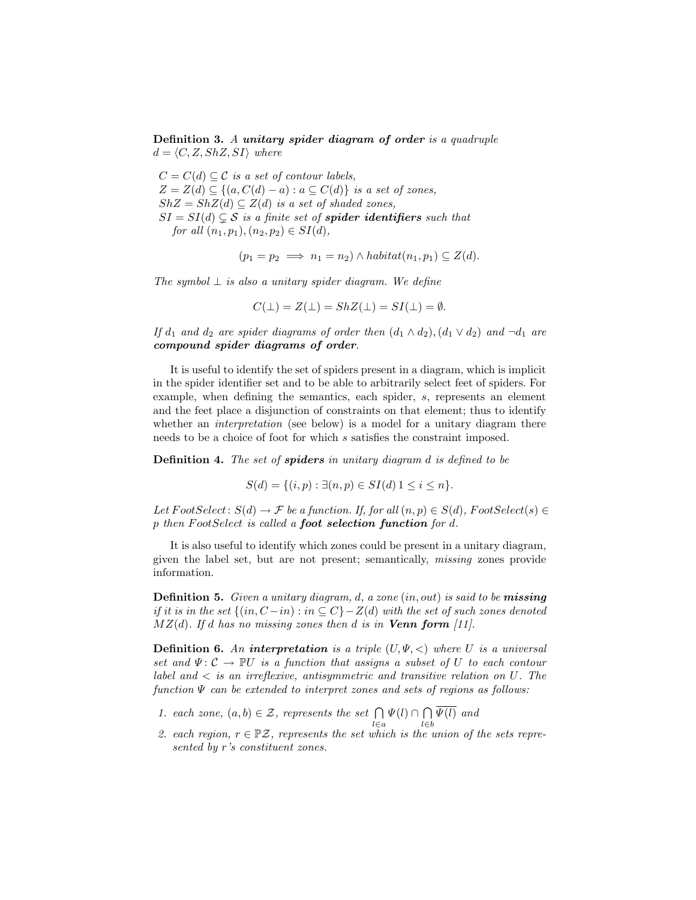Definition 3. A unitary spider diagram of order is a quadruple  $d = \langle C, Z, ShZ, SI \rangle$  where

 $C = C(d) \subset C$  is a set of contour labels,  $Z = Z(d) \subseteq \{(a, C(d) - a) : a \subseteq C(d)\}\$ is a set of zones,  $ShZ = ShZ(d) \subseteq Z(d)$  is a set of shaded zones,  $SI = SI(d) \subseteq S$  is a finite set of **spider identifiers** such that for all  $(n_1, p_1), (n_2, p_2) \in SI(d)$ ,

$$
(p_1 = p_2 \implies n_1 = n_2) \land \text{habitat}(n_1, p_1) \subseteq Z(d).
$$

The symbol  $\perp$  is also a unitary spider diagram. We define

$$
C(\bot) = Z(\bot) = ShZ(\bot) = SI(\bot) = \emptyset.
$$

If  $d_1$  and  $d_2$  are spider diagrams of order then  $(d_1 \wedge d_2), (d_1 \vee d_2)$  and  $\neg d_1$  are compound spider diagrams of order.

It is useful to identify the set of spiders present in a diagram, which is implicit in the spider identifier set and to be able to arbitrarily select feet of spiders. For example, when defining the semantics, each spider, s, represents an element and the feet place a disjunction of constraints on that element; thus to identify whether an *interpretation* (see below) is a model for a unitary diagram there needs to be a choice of foot for which s satisfies the constraint imposed.

**Definition 4.** The set of **spiders** in unitary diagram d is defined to be

$$
S(d) = \{(i, p) : \exists (n, p) \in SI(d) \, 1 \le i \le n\}.
$$

Let  $FootSelect: S(d) \to \mathcal{F}$  be a function. If, for all  $(n, p) \in S(d)$ ,  $FootSelect(s) \in$  $p$  then FootSelect is called a **foot selection function** for  $d$ .

It is also useful to identify which zones could be present in a unitary diagram, given the label set, but are not present; semantically, missing zones provide information.

**Definition 5.** Given a unitary diagram, d, a zone  $(in, out)$  is said to be **missing** if it is in the set  $\{(in, C-in) : in \subseteq C\} - Z(d)$  with the set of such zones denoted  $MZ(d)$ . If d has no missing zones then d is in **Venn form** [11].

**Definition 6.** An interpretation is a triple  $(U, \Psi, <)$  where U is a universal set and  $\Psi: \mathcal{C} \to \mathbb{P} U$  is a function that assigns a subset of U to each contour label and  $\langle$  is an irreflexive, antisymmetric and transitive relation on U. The function  $\Psi$  can be extended to interpret zones and sets of regions as follows:

- 1. each zone,  $(a, b) \in \mathcal{Z}$ , represents the set  $\bigcap$ l∈a  $\Psi(l)\cap\bigcap$ l∈b  $\Psi(l)$  and
- 2. each region,  $r \in \mathbb{P}Z$ , represents the set which is the union of the sets represented by r's constituent zones.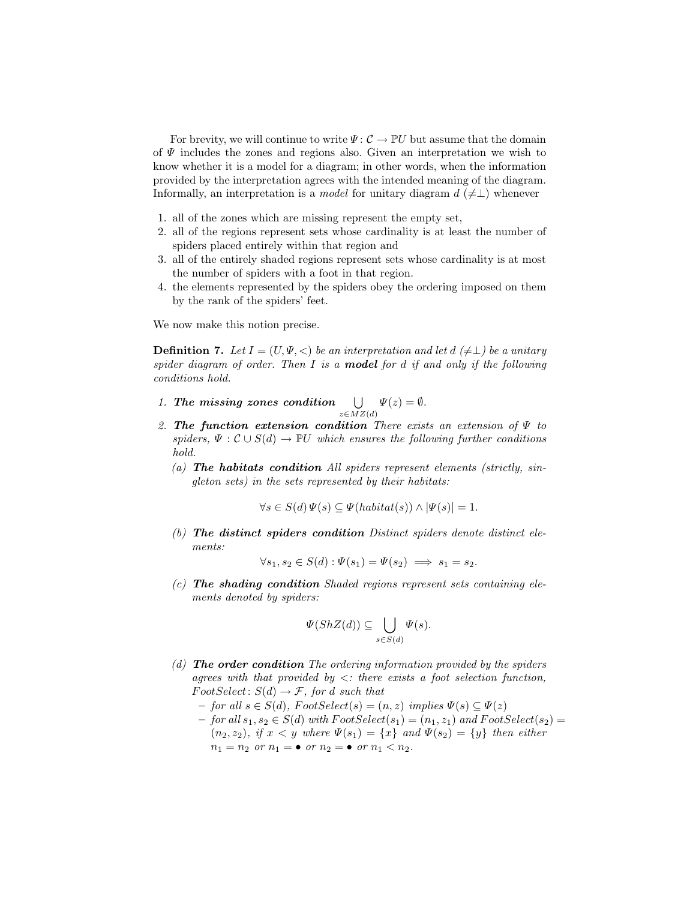For brevity, we will continue to write  $\Psi: \mathcal{C} \to \mathbb{P}U$  but assume that the domain of  $\Psi$  includes the zones and regions also. Given an interpretation we wish to know whether it is a model for a diagram; in other words, when the information provided by the interpretation agrees with the intended meaning of the diagram. Informally, an interpretation is a *model* for unitary diagram  $d \neq \perp$ ) whenever

- 1. all of the zones which are missing represent the empty set,
- 2. all of the regions represent sets whose cardinality is at least the number of spiders placed entirely within that region and
- 3. all of the entirely shaded regions represent sets whose cardinality is at most the number of spiders with a foot in that region.
- 4. the elements represented by the spiders obey the ordering imposed on them by the rank of the spiders' feet.

We now make this notion precise.

**Definition 7.** Let  $I = (U, \Psi, \langle \rangle)$  be an interpretation and let  $d \neq \bot$  be a unitary spider diagram of order. Then  $I$  is a **model** for  $d$  if and only if the following conditions hold.

- 1. The missing zones condition  $\bigcup$  $z\in MZ(d)$  $\Psi(z)=\emptyset.$
- 2. The function extension condition There exists an extension of  $\Psi$  to spiders,  $\Psi : \mathcal{C} \cup S(d) \to \mathbb{P}U$  which ensures the following further conditions hold.
	- (a) The habitats condition All spiders represent elements (strictly, singleton sets) in the sets represented by their habitats:

$$
\forall s \in S(d) \Psi(s) \subseteq \Psi(habitat(s)) \land |\Psi(s)| = 1.
$$

(b) The distinct spiders condition Distinct spiders denote distinct elements:

$$
\forall s_1, s_2 \in S(d) : \Psi(s_1) = \Psi(s_2) \implies s_1 = s_2.
$$

 $(c)$  The shading condition Shaded regions represent sets containing elements denoted by spiders:

$$
\Psi(ShZ(d)) \subseteq \bigcup_{s \in S(d)} \Psi(s).
$$

- (d) **The order condition** The ordering information provided by the spiders agrees with that provided by  $\lt$ : there exists a foot selection function,  $FootSelect: S(d) \to \mathcal{F},$  for d such that
	- for all s ∈ S(d), F ootSelect(s) = (n, z) implies Ψ(s) ⊆ Ψ(z)
	- for all  $s_1, s_2 \in S(d)$  with  $FootSelect(s_1) = (n_1, z_1)$  and  $FootSelect(s_2) =$  $(n_2, z_2)$ , if  $x < y$  where  $\Psi(s_1) = \{x\}$  and  $\Psi(s_2) = \{y\}$  then either  $n_1 = n_2$  or  $n_1 = \bullet$  or  $n_2 = \bullet$  or  $n_1 < n_2$ .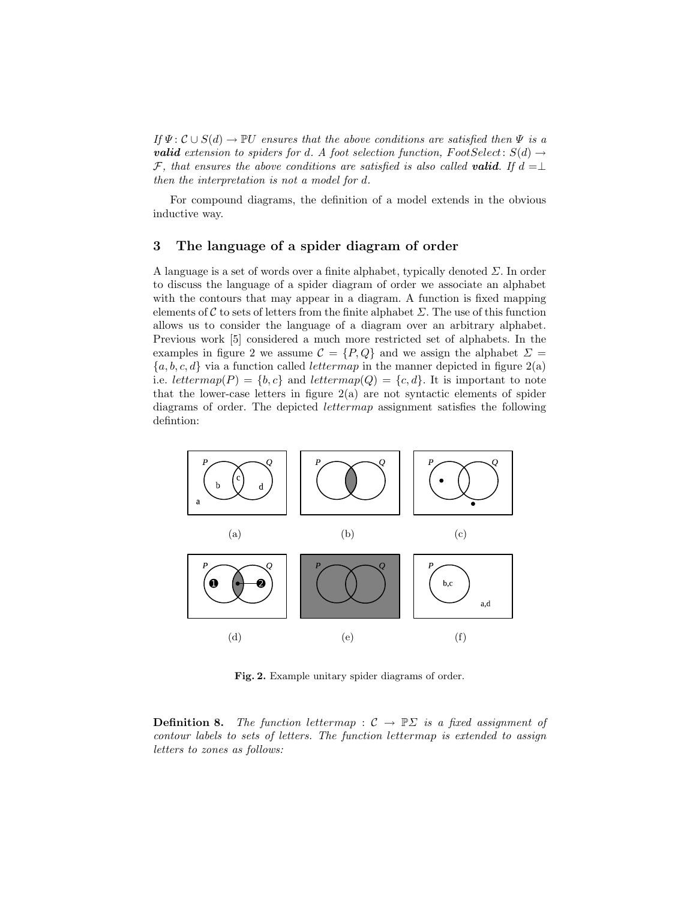If  $\Psi: \mathcal{C} \cup S(d) \to \mathbb{P}U$  ensures that the above conditions are satisfied then  $\Psi$  is a **valid** extension to spiders for d. A foot selection function, FootSelect:  $S(d) \rightarrow$ F, that ensures the above conditions are satisfied is also called **valid**. If  $d = \perp$ then the interpretation is not a model for d.

For compound diagrams, the definition of a model extends in the obvious inductive way.

#### 3 The language of a spider diagram of order

A language is a set of words over a finite alphabet, typically denoted  $\Sigma$ . In order to discuss the language of a spider diagram of order we associate an alphabet with the contours that may appear in a diagram. A function is fixed mapping elements of C to sets of letters from the finite alphabet  $\Sigma$ . The use of this function allows us to consider the language of a diagram over an arbitrary alphabet. Previous work [5] considered a much more restricted set of alphabets. In the examples in figure 2 we assume  $\mathcal{C} = \{P, Q\}$  and we assign the alphabet  $\Sigma =$  ${a, b, c, d}$  via a function called *lettermap* in the manner depicted in figure 2(a) i.e. lettermap(P) =  $\{b, c\}$  and lettermap(Q) =  $\{c, d\}$ . It is important to note that the lower-case letters in figure  $2(a)$  are not syntactic elements of spider diagrams of order. The depicted lettermap assignment satisfies the following defintion:



Fig. 2. Example unitary spider diagrams of order.

**Definition 8.** The function lettermap :  $C \rightarrow \mathbb{P}\Sigma$  is a fixed assignment of contour labels to sets of letters. The function lettermap is extended to assign letters to zones as follows: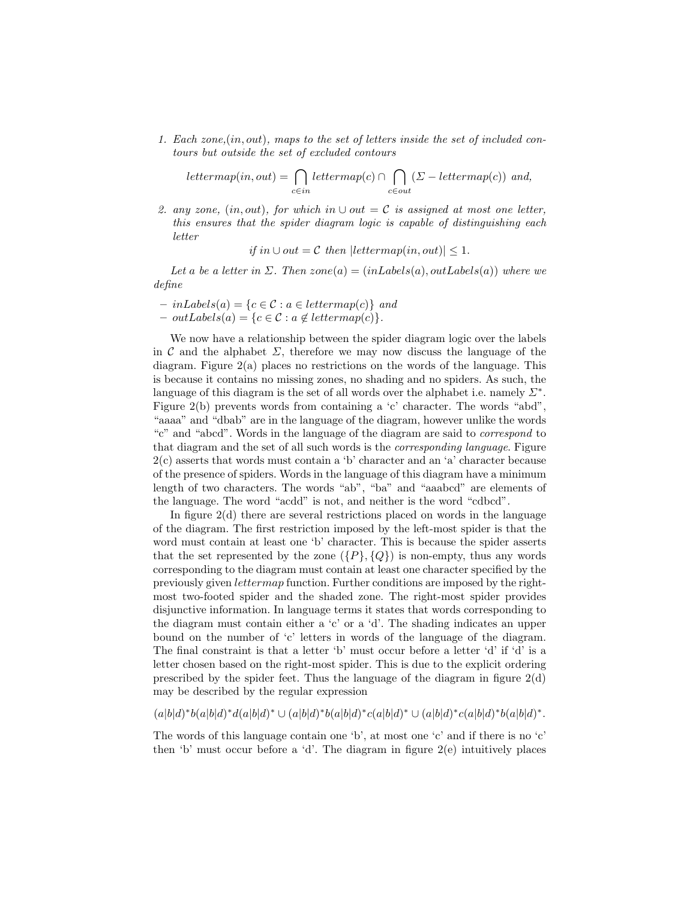1. Each zone,(in, out), maps to the set of letters inside the set of included contours but outside the set of excluded contours

$$
lettermap(in,out) = \bigcap_{c \in in} lettermap(c) \cap \bigcap_{c \in out} (\Sigma - lettermap(c)) \text{ and,}
$$

2. any zone,  $(in, out)$ , for which in  $\cup out = C$  is assigned at most one letter, this ensures that the spider diagram logic is capable of distinguishing each letter

if in  $\cup$  out =  $\mathcal C$  then  $|lettermap(in,out)| \leq 1$ .

Let a be a letter in  $\Sigma$ . Then zone(a) = (in Labels(a), out Labels(a)) where we define

- $-$  inLabels(a) = {c  $\in \mathcal{C}$  : a  $\in$  lettermap(c)} and
- $-$  outLabels(a) = {c  $\in \mathcal{C}$  : a  $\notin$  lettermap(c)}.

We now have a relationship between the spider diagram logic over the labels in C and the alphabet  $\Sigma$ , therefore we may now discuss the language of the diagram. Figure  $2(a)$  places no restrictions on the words of the language. This is because it contains no missing zones, no shading and no spiders. As such, the language of this diagram is the set of all words over the alphabet i.e. namely  $\Sigma^*$ . Figure 2(b) prevents words from containing a 'c' character. The words "abd", "aaaa" and "dbab" are in the language of the diagram, however unlike the words "c" and "abcd". Words in the language of the diagram are said to correspond to that diagram and the set of all such words is the corresponding language. Figure 2(c) asserts that words must contain a 'b' character and an 'a' character because of the presence of spiders. Words in the language of this diagram have a minimum length of two characters. The words "ab", "ba" and "aaabcd" are elements of the language. The word "acdd" is not, and neither is the word "cdbcd".

In figure  $2(d)$  there are several restrictions placed on words in the language of the diagram. The first restriction imposed by the left-most spider is that the word must contain at least one 'b' character. This is because the spider asserts that the set represented by the zone  $({P}, {Q})$  is non-empty, thus any words corresponding to the diagram must contain at least one character specified by the previously given lettermap function. Further conditions are imposed by the rightmost two-footed spider and the shaded zone. The right-most spider provides disjunctive information. In language terms it states that words corresponding to the diagram must contain either a 'c' or a 'd'. The shading indicates an upper bound on the number of 'c' letters in words of the language of the diagram. The final constraint is that a letter 'b' must occur before a letter 'd' if 'd' is a letter chosen based on the right-most spider. This is due to the explicit ordering prescribed by the spider feet. Thus the language of the diagram in figure  $2(d)$ may be described by the regular expression

 $(a|b|d)^*b(a|b|d)^*d(a|b|d)^* \cup (a|b|d)^*b(a|b|d)^*c(a|b|d)^* \cup (a|b|d)^*c(a|b|d)^*b(a|b|d)^*$ .

The words of this language contain one 'b', at most one 'c' and if there is no 'c' then 'b' must occur before a 'd'. The diagram in figure 2(e) intuitively places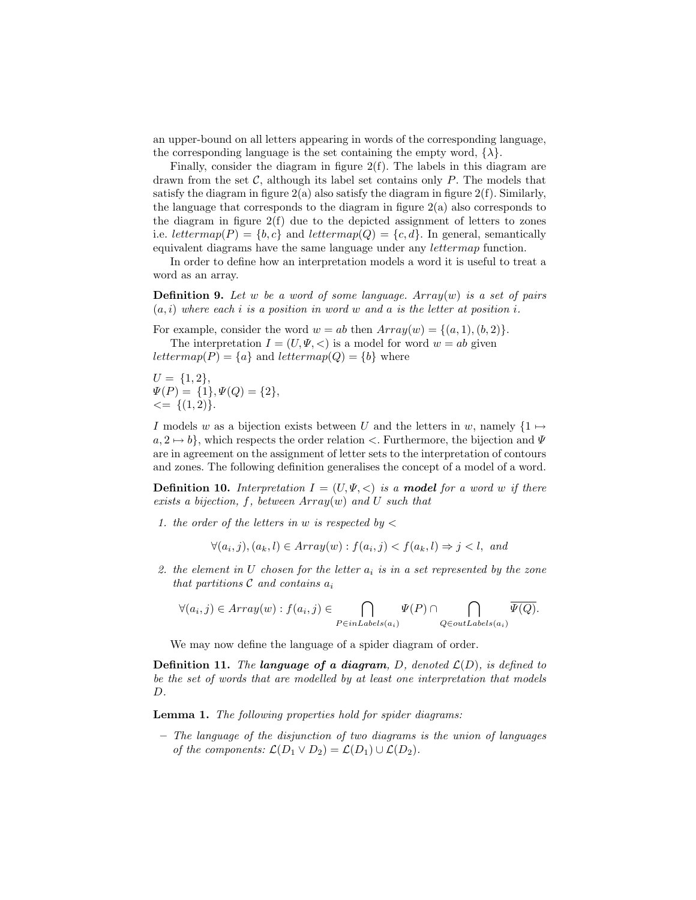an upper-bound on all letters appearing in words of the corresponding language, the corresponding language is the set containing the empty word,  $\{\lambda\}$ .

Finally, consider the diagram in figure 2(f). The labels in this diagram are drawn from the set  $C$ , although its label set contains only  $P$ . The models that satisfy the diagram in figure  $2(a)$  also satisfy the diagram in figure  $2(f)$ . Similarly, the language that corresponds to the diagram in figure  $2(a)$  also corresponds to the diagram in figure 2(f) due to the depicted assignment of letters to zones i.e. lettermap(P) =  $\{b, c\}$  and lettermap(Q) =  $\{c, d\}$ . In general, semantically equivalent diagrams have the same language under any lettermap function.

In order to define how an interpretation models a word it is useful to treat a word as an array.

**Definition 9.** Let w be a word of some language.  $Array(w)$  is a set of pairs  $(a, i)$  where each i is a position in word w and a is the letter at position i.

For example, consider the word  $w = ab$  then  $Array(w) = \{(a, 1), (b, 2)\}.$ 

The interpretation  $I = (U, \Psi, <)$  is a model for word  $w = ab$  given lettermap(P) =  $\{a\}$  and lettermap(Q) =  $\{b\}$  where

 $U = \{1, 2\},\$  $\Psi(P) = \{1\}, \Psi(Q) = \{2\},\$  $\leq$  { $(1, 2)$ }.

I models w as a bijection exists between U and the letters in w, namely  $\{1 \mapsto$  $a, 2 \mapsto b$ , which respects the order relation  $\lt$ . Furthermore, the bijection and  $\Psi$ are in agreement on the assignment of letter sets to the interpretation of contours and zones. The following definition generalises the concept of a model of a word.

**Definition 10.** Interpretation  $I = (U, \Psi, \langle \rangle)$  is a **model** for a word w if there exists a bijection, f, between  $Array(w)$  and U such that

1. the order of the letters in  $w$  is respected by  $\lt$ 

$$
\forall (a_i, j), (a_k, l) \in Array(w) : f(a_i, j) < f(a_k, l) \Rightarrow j < l, \text{ and}
$$

2. the element in U chosen for the letter  $a_i$  is in a set represented by the zone that partitions  $C$  and contains  $a_i$ 

$$
\forall (a_i, j) \in Array(w) : f(a_i, j) \in \bigcap_{P \in in \text{Labels}(a_i)} \Psi(P) \cap \bigcap_{Q \in out \text{Labels}(a_i)} \overline{\Psi(Q)}.
$$

We may now define the language of a spider diagram of order.

**Definition 11.** The language of a diagram, D, denoted  $\mathcal{L}(D)$ , is defined to be the set of words that are modelled by at least one interpretation that models D.

Lemma 1. The following properties hold for spider diagrams:

– The language of the disjunction of two diagrams is the union of languages of the components:  $\mathcal{L}(D_1 \vee D_2) = \mathcal{L}(D_1) \cup \mathcal{L}(D_2)$ .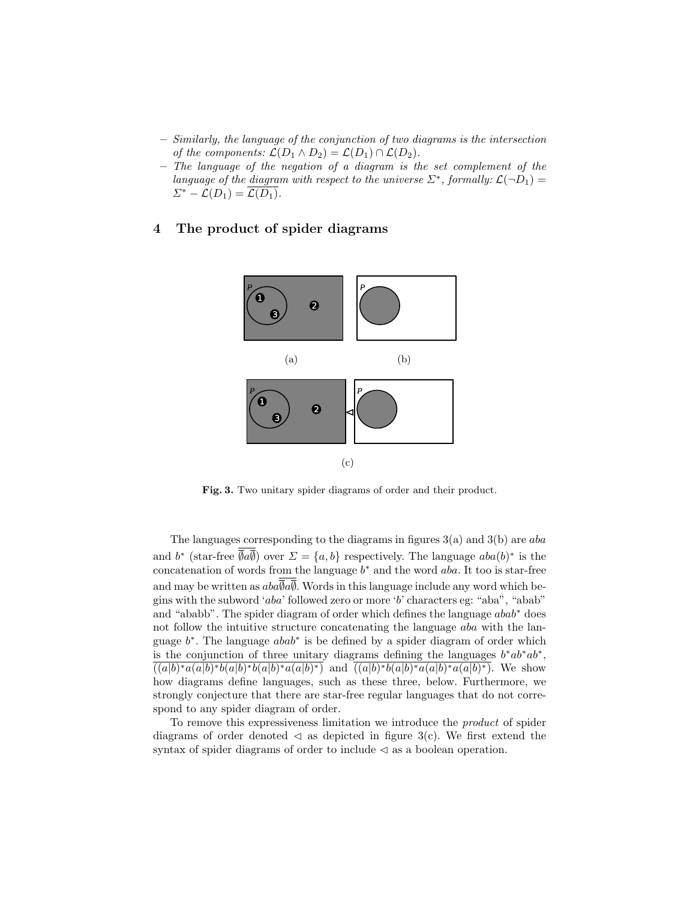- Similarly, the language of the conjunction of two diagrams is the intersection of the components:  $\mathcal{L}(D_1 \wedge D_2) = \mathcal{L}(D_1) \cap \mathcal{L}(D_2)$ .
- The language of the negation of a diagram is the set complement of the language of the diagram with respect to the universe  $\Sigma^*$ , formally:  $\mathcal{L}(\neg D_1) =$  $\Sigma^*$  –  $\mathcal{L}(D_1) = \overline{\mathcal{L}(D_1)}$ .

#### 4 The product of spider diagrams



Fig. 3. Two unitary spider diagrams of order and their product.

The languages corresponding to the diagrams in figures  $3(a)$  and  $3(b)$  are aba and  $b^*$  (star-free  $\overline{\emptyset}a\overline{\emptyset}$ ) over  $\Sigma = \{a, b\}$  respectively. The language  $aba(b)^*$  is the concatenation of words from the language  $b^*$  and the word aba. It too is star-free and may be written as  $aba\overline{a}\overline{a}$ . Words in this language include any word which begins with the subword 'aba' followed zero or more 'b' characters eg: "aba", "abab" and "ababb". The spider diagram of order which defines the language abab<sup>∗</sup> does not follow the intuitive structure concatenating the language *aba* with the language  $b^*$ . The language  $abab^*$  is be defined by a spider diagram of order which is the conjunction of three unitary diagrams defining the languages  $b^*ab^*ab^*$ ,  $\overline{((a|b)*a(a|b)*b(a|b)*b(a|b)*a(a|b)*)}$  and  $\overline{((a|b)*b(a|b)*a(a|b)*a(a|b)*)}$ . We show how diagrams define languages, such as these three, below. Furthermore, we strongly conjecture that there are star-free regular languages that do not correspond to any spider diagram of order.

To remove this expressiveness limitation we introduce the product of spider diagrams of order denoted  $\triangleleft$  as depicted in figure 3(c). We first extend the syntax of spider diagrams of order to include  $\triangleleft$  as a boolean operation.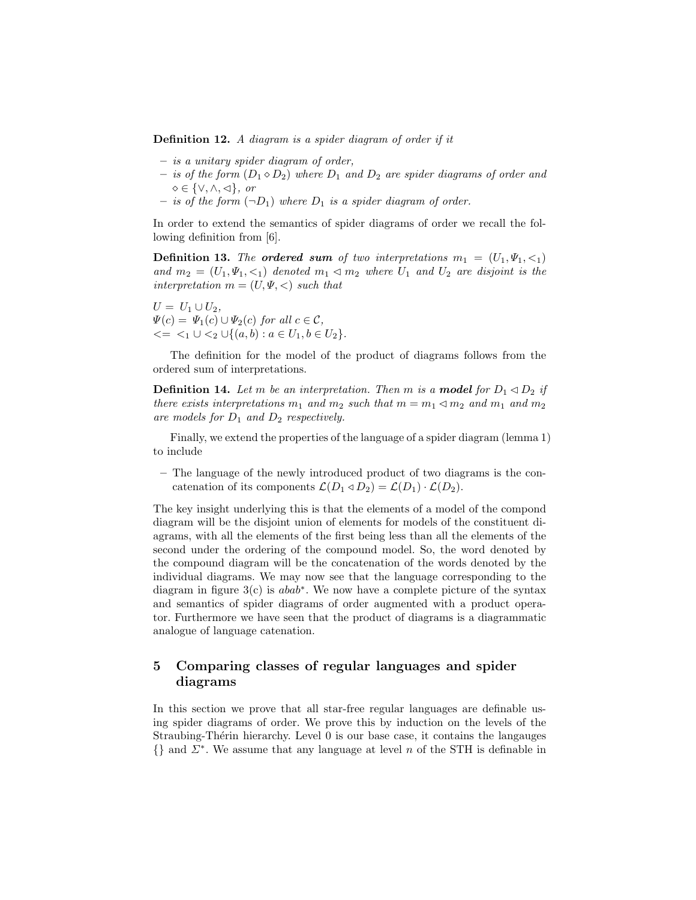Definition 12. A diagram is a spider diagram of order if it

- is a unitary spider diagram of order,
- is of the form  $(D_1 \diamond D_2)$  where  $D_1$  and  $D_2$  are spider diagrams of order and  $\diamond \in \{\vee, \wedge, \triangleleft\}, \text{ or }$
- is of the form  $(\neg D_1)$  where  $D_1$  is a spider diagram of order.

In order to extend the semantics of spider diagrams of order we recall the following definition from [6].

**Definition 13.** The **ordered sum** of two interpretations  $m_1 = (U_1, \Psi_1, \langle \cdot \rangle)$ and  $m_2 = (U_1, \Psi_1, \leq_1)$  denoted  $m_1 \leq m_2$  where  $U_1$  and  $U_2$  are disjoint is the interpretation  $m = (U, \Psi, \langle)$  such that

 $U = U_1 \cup U_2,$  $\Psi(c) = \Psi_1(c) \cup \Psi_2(c)$  for all  $c \in \mathcal{C}$ ,  $\langle 1 \cup \langle 2 \cup \{(a, b) : a \in U_1, b \in U_2\}.$ 

The definition for the model of the product of diagrams follows from the ordered sum of interpretations.

**Definition 14.** Let m be an interpretation. Then m is a **model** for  $D_1 \triangleleft D_2$  if there exists interpretations  $m_1$  and  $m_2$  such that  $m=m_1\vartriangleleft m_2$  and  $m_1$  and  $m_2$ are models for  $D_1$  and  $D_2$  respectively.

Finally, we extend the properties of the language of a spider diagram (lemma 1) to include

– The language of the newly introduced product of two diagrams is the concatenation of its components  $\mathcal{L}(D_1 \triangleleft D_2) = \mathcal{L}(D_1) \cdot \mathcal{L}(D_2)$ .

The key insight underlying this is that the elements of a model of the compond diagram will be the disjoint union of elements for models of the constituent diagrams, with all the elements of the first being less than all the elements of the second under the ordering of the compound model. So, the word denoted by the compound diagram will be the concatenation of the words denoted by the individual diagrams. We may now see that the language corresponding to the diagram in figure  $3(c)$  is  $abab^*$ . We now have a complete picture of the syntax and semantics of spider diagrams of order augmented with a product operator. Furthermore we have seen that the product of diagrams is a diagrammatic analogue of language catenation.

## 5 Comparing classes of regular languages and spider diagrams

In this section we prove that all star-free regular languages are definable using spider diagrams of order. We prove this by induction on the levels of the Straubing-Thérin hierarchy. Level  $0$  is our base case, it contains the langauges  $\{\}\$ and  $\Sigma^*$ . We assume that any language at level n of the STH is definable in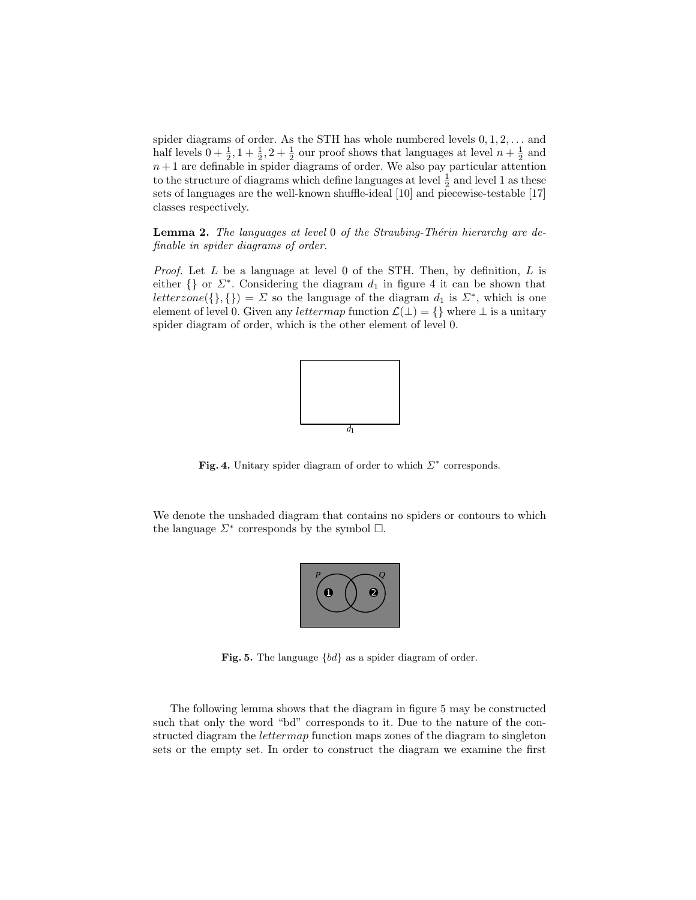spider diagrams of order. As the STH has whole numbered levels  $0, 1, 2, \ldots$  and half levels  $0 + \frac{1}{2}$ ,  $1 + \frac{1}{2}$ ,  $2 + \frac{1}{2}$  our proof shows that languages at level  $n + \frac{1}{2}$  and  $n+1$  are definable in spider diagrams of order. We also pay particular attention to the structure of diagrams which define languages at level  $\frac{1}{2}$  and level 1 as these sets of languages are the well-known shuffle-ideal [10] and piecewise-testable [17] classes respectively.

**Lemma 2.** The languages at level 0 of the Straubing-Thérin hierarchy are definable in spider diagrams of order.

*Proof.* Let  $L$  be a language at level 0 of the STH. Then, by definition,  $L$  is either  $\{\}\$  or  $\Sigma^*$ . Considering the diagram  $d_1$  in figure 4 it can be shown that letterzone({}, {}) =  $\Sigma$  so the language of the diagram  $d_1$  is  $\Sigma^*$ , which is one element of level 0. Given any *lettermap* function  $\mathcal{L}(\perp) = \{\}\$  where  $\perp$  is a unitary spider diagram of order, which is the other element of level 0.



Fig. 4. Unitary spider diagram of order to which  $\Sigma^*$  corresponds.

We denote the unshaded diagram that contains no spiders or contours to which the language  $\Sigma^*$  corresponds by the symbol  $\square$ .



Fig. 5. The language {bd} as a spider diagram of order.

The following lemma shows that the diagram in figure 5 may be constructed such that only the word "bd" corresponds to it. Due to the nature of the constructed diagram the *lettermap* function maps zones of the diagram to singleton sets or the empty set. In order to construct the diagram we examine the first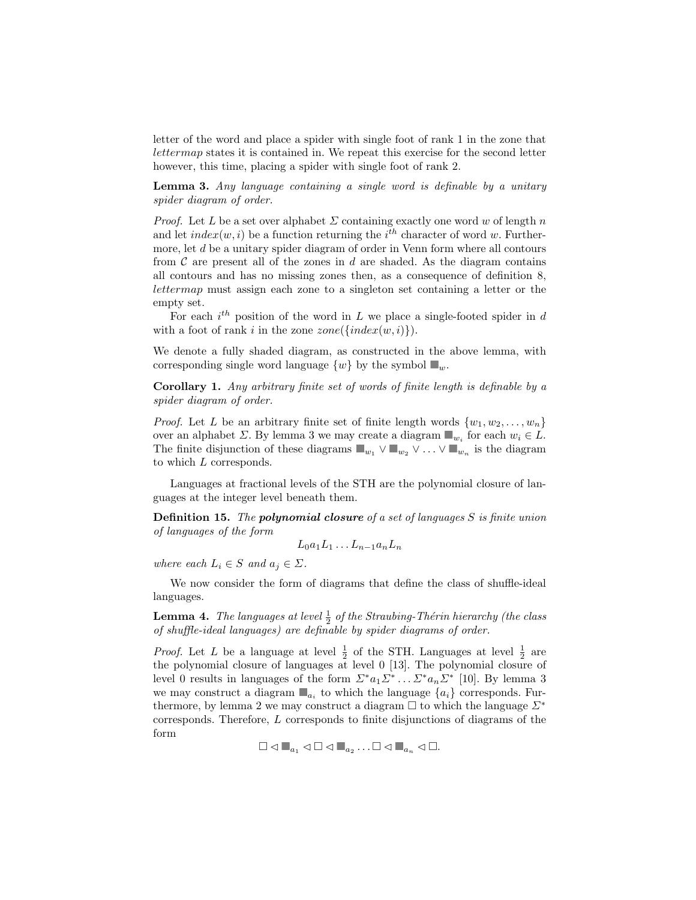letter of the word and place a spider with single foot of rank 1 in the zone that lettermap states it is contained in. We repeat this exercise for the second letter however, this time, placing a spider with single foot of rank 2.

Lemma 3. Any language containing a single word is definable by a unitary spider diagram of order.

*Proof.* Let L be a set over alphabet  $\Sigma$  containing exactly one word w of length n and let  $index(w, i)$  be a function returning the  $i<sup>th</sup>$  character of word w. Furthermore, let d be a unitary spider diagram of order in Venn form where all contours from  $C$  are present all of the zones in  $d$  are shaded. As the diagram contains all contours and has no missing zones then, as a consequence of definition 8, lettermap must assign each zone to a singleton set containing a letter or the empty set.

For each  $i^{th}$  position of the word in L we place a single-footed spider in d with a foot of rank i in the zone  $zone(\{index(w, i)\})$ .

We denote a fully shaded diagram, as constructed in the above lemma, with corresponding single word language  $\{w\}$  by the symbol  $\blacksquare_w$ .

Corollary 1. Any arbitrary finite set of words of finite length is definable by a spider diagram of order.

*Proof.* Let L be an arbitrary finite set of finite length words  $\{w_1, w_2, \ldots, w_n\}$ over an alphabet  $\Sigma$ . By lemma 3 we may create a diagram  $\blacksquare_{w_i}$  for each  $w_i \in L$ . The finite disjunction of these diagrams  $\blacksquare_{w_1} \vee \blacksquare_{w_2} \vee \ldots \vee \blacksquare_{w_n}$  is the diagram to which L corresponds.

Languages at fractional levels of the STH are the polynomial closure of languages at the integer level beneath them.

**Definition 15.** The **polynomial closure** of a set of languages  $S$  is finite union of languages of the form

$$
L_0a_1L_1\ldots L_{n-1}a_nL_n
$$

where each  $L_i \in S$  and  $a_j \in \Sigma$ .

We now consider the form of diagrams that define the class of shuffle-ideal languages.

**Lemma 4.** The languages at level  $\frac{1}{2}$  of the Straubing-Thérin hierarchy (the class of shuffle-ideal languages) are definable by spider diagrams of order.

*Proof.* Let L be a language at level  $\frac{1}{2}$  of the STH. Languages at level  $\frac{1}{2}$  are the polynomial closure of languages at level 0 [13]. The polynomial closure of level 0 results in languages of the form  $\Sigma^* a_1 \Sigma^* \dots \Sigma^* a_n \Sigma^*$  [10]. By lemma 3 we may construct a diagram  $\blacksquare_{a_i}$  to which the language  $\{a_i\}$  corresponds. Furthermore, by lemma 2 we may construct a diagram  $\Box$  to which the language  $\Sigma^*$ corresponds. Therefore, L corresponds to finite disjunctions of diagrams of the form

```
\Box \triangleleft \blacksquare_{a_1} \triangleleft \Box \triangleleft \blacksquare_{a_2} \ldots \Box \triangleleft \blacksquare_{a_n} \triangleleft \Box.
```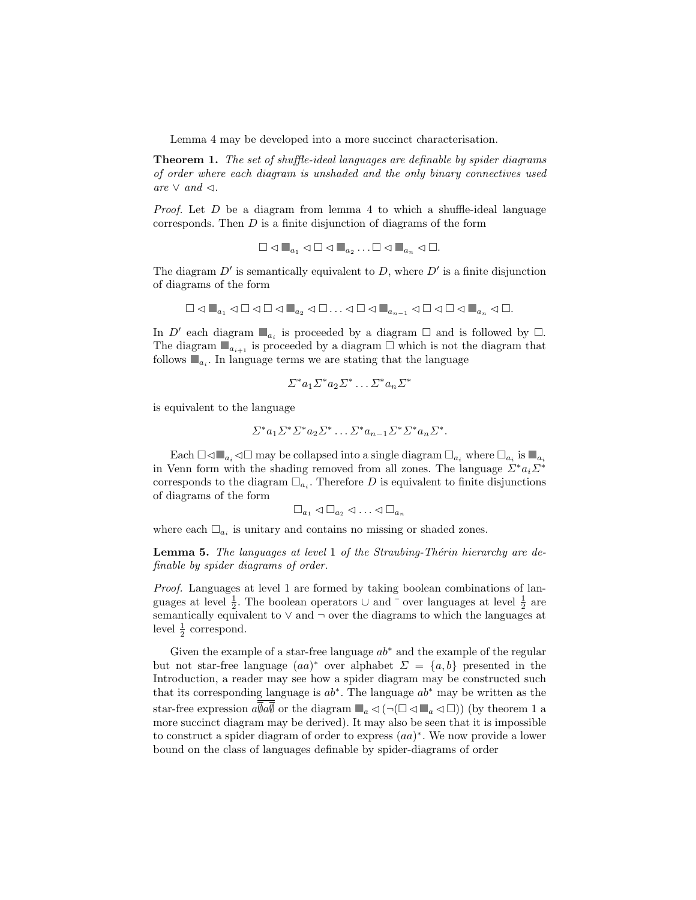Lemma 4 may be developed into a more succinct characterisation.

Theorem 1. The set of shuffle-ideal languages are definable by spider diagrams of order where each diagram is unshaded and the only binary connectives used are ∨ and  $\lhd$ .

*Proof.* Let  $D$  be a diagram from lemma 4 to which a shuffle-ideal language corresponds. Then  $D$  is a finite disjunction of diagrams of the form

$$
\Box \lhd \blacksquare_{a_1} \lhd \Box \lhd \blacksquare_{a_2} \ldots \Box \lhd \blacksquare_{a_n} \lhd \Box.
$$

The diagram  $D'$  is semantically equivalent to  $D$ , where  $D'$  is a finite disjunction of diagrams of the form

$$
\Box \lhd \blacksquare_{a_1} \lhd \Box \lhd \Box \lhd \blacksquare_{a_2} \lhd \Box \ldots \lhd \Box \lhd \blacksquare_{a_{n-1}} \lhd \Box \lhd \Box \lhd \blacksquare_{a_n} \lhd \Box.
$$

In  $D'$  each diagram  $\Box_{a_i}$  is proceeded by a diagram  $\Box$  and is followed by  $\Box$ . The diagram  $\blacksquare_{a_{i+1}}$  is proceeded by a diagram  $\square$  which is not the diagram that follows  $\blacksquare_{a_i}$ . In language terms we are stating that the language

$$
\Sigma^* a_1 \Sigma^* a_2 \Sigma^* \dots \Sigma^* a_n \Sigma^*
$$

is equivalent to the language

$$
\Sigma^* a_1 \Sigma^* \Sigma^* a_2 \Sigma^* \dots \Sigma^* a_{n-1} \Sigma^* \Sigma^* a_n \Sigma^*.
$$

Each  $\Box \triangleleft \Box_{a_i} \triangleleft \Box$  may be collapsed into a single diagram  $\Box_{a_i}$  where  $\Box_{a_i}$  is  $\Box_{a_i}$ in Venn form with the shading removed from all zones. The language  $\mathbb{Z}^* a_i \mathbb{Z}^*$ corresponds to the diagram  $\Box_{a_i}$ . Therefore D is equivalent to finite disjunctions of diagrams of the form

$$
\Box_{a_1} \lhd \Box_{a_2} \lhd \ldots \lhd \Box_{a_n}
$$

where each  $\Box_{a_i}$  is unitary and contains no missing or shaded zones.

**Lemma 5.** The languages at level 1 of the Straubing-Thérin hierarchy are definable by spider diagrams of order.

Proof. Languages at level 1 are formed by taking boolean combinations of languages at level  $\frac{1}{2}$ . The boolean operators ∪ and  $\overline{\ }$  over languages at level  $\frac{1}{2}$  are semantically equivalent to  $\vee$  and  $\neg$  over the diagrams to which the languages at level  $\frac{1}{2}$  correspond.

Given the example of a star-free language  $ab^*$  and the example of the regular but not star-free language  $(aa)^*$  over alphabet  $\Sigma = \{a, b\}$  presented in the Introduction, a reader may see how a spider diagram may be constructed such that its corresponding language is  $ab^*$ . The language  $ab^*$  may be written as the star-free expression  $a\overline{b}a\overline{b}$  or the diagram  $\blacksquare_a \lhd (\neg (\square \lhd \blacksquare_a \lhd \square))$  (by theorem 1 a more succinct diagram may be derived). It may also be seen that it is impossible to construct a spider diagram of order to express  $(aa)^*$ . We now provide a lower bound on the class of languages definable by spider-diagrams of order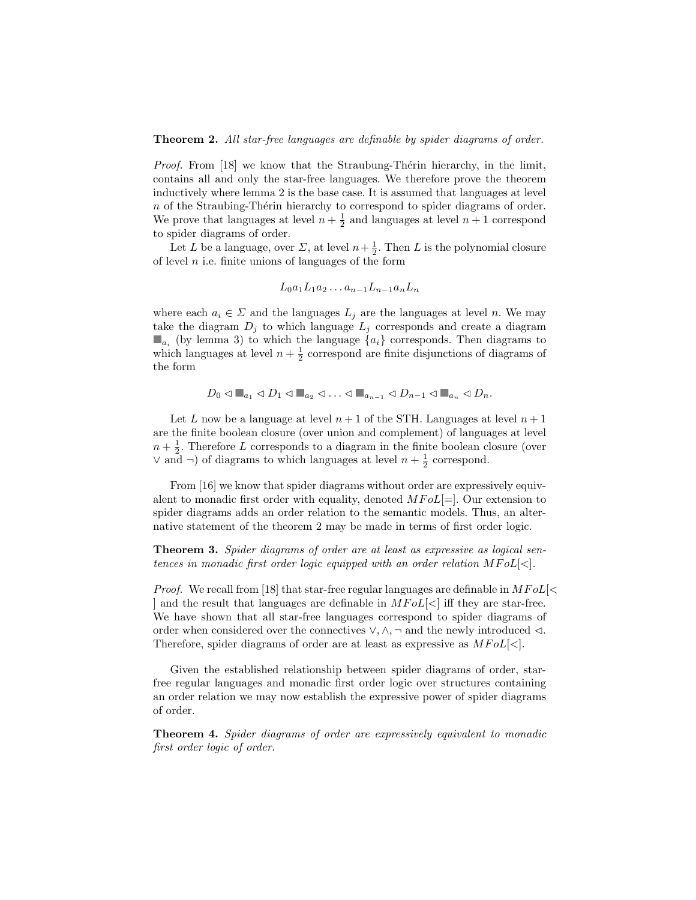Theorem 2. All star-free languages are definable by spider diagrams of order.

*Proof.* From [18] we know that the Straubung-Thérin hierarchy, in the limit, contains all and only the star-free languages. We therefore prove the theorem inductively where lemma 2 is the base case. It is assumed that languages at level  $n$  of the Straubing-Thérin hierarchy to correspond to spider diagrams of order. We prove that languages at level  $n + \frac{1}{2}$  and languages at level  $n + 1$  correspond to spider diagrams of order.

Let L be a language, over  $\Sigma$ , at level  $n + \frac{1}{2}$ . Then L is the polynomial closure of level  $n$  i.e. finite unions of languages of the form

$$
L_0a_1L_1a_2\ldots a_{n-1}L_{n-1}a_nL_n
$$

where each  $a_i \in \Sigma$  and the languages  $L_j$  are the languages at level n. We may take the diagram  $D_j$  to which language  $L_j$  corresponds and create a diagram  $\blacksquare_{a_i}$  (by lemma 3) to which the language  $\{a_i\}$  corresponds. Then diagrams to which languages at level  $n + \frac{1}{2}$  correspond are finite disjunctions of diagrams of the form

$$
D_0 \triangleleft \mathbb{L}_{a_1} \triangleleft D_1 \triangleleft \mathbb{L}_{a_2} \triangleleft \ldots \triangleleft \mathbb{L}_{a_{n-1}} \triangleleft D_{n-1} \triangleleft \mathbb{L}_{a_n} \triangleleft D_n.
$$

Let L now be a language at level  $n+1$  of the STH. Languages at level  $n+1$ are the finite boolean closure (over union and complement) of languages at level  $n + \frac{1}{2}$ . Therefore L corresponds to a diagram in the finite boolean closure (over ∨ and  $\neg$ ) of diagrams to which languages at level  $n + \frac{1}{2}$  correspond.

From [16] we know that spider diagrams without order are expressively equivalent to monadic first order with equality, denoted  $MFoL[=]$ . Our extension to spider diagrams adds an order relation to the semantic models. Thus, an alternative statement of the theorem 2 may be made in terms of first order logic.

Theorem 3. Spider diagrams of order are at least as expressive as logical sentences in monadic first order logic equipped with an order relation  $MFoL[<]$ .

*Proof.* We recall from [18] that star-free regular languages are definable in  $MFol$   $\leq$ ] and the result that languages are definable in  $MFoL[\langle \cdot \rangle]$  iff they are star-free. We have shown that all star-free languages correspond to spider diagrams of order when considered over the connectives  $\vee$ ,  $\wedge$ ,  $\neg$  and the newly introduced  $\triangleleft$ . Therefore, spider diagrams of order are at least as expressive as  $MFoL[\langle \cdot]$ .

Given the established relationship between spider diagrams of order, starfree regular languages and monadic first order logic over structures containing an order relation we may now establish the expressive power of spider diagrams of order.

Theorem 4. Spider diagrams of order are expressively equivalent to monadic first order logic of order.